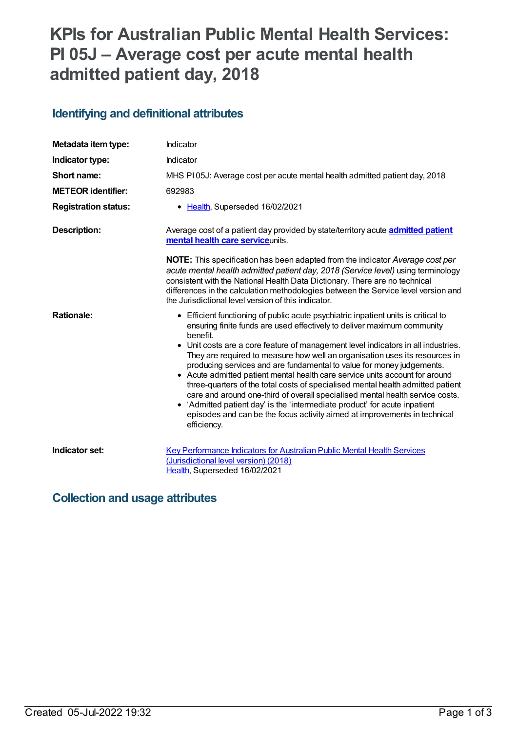# **KPIs for Australian Public Mental Health Services: PI 05J – Average cost per acute mental health admitted patient day, 2018**

## **Identifying and definitional attributes**

| Metadata item type:         | Indicator                                                                                                                                                                                                                                                                                                                                                                                                                                                                                                                                                                                                                                                                                                                                                                                                                                            |
|-----------------------------|------------------------------------------------------------------------------------------------------------------------------------------------------------------------------------------------------------------------------------------------------------------------------------------------------------------------------------------------------------------------------------------------------------------------------------------------------------------------------------------------------------------------------------------------------------------------------------------------------------------------------------------------------------------------------------------------------------------------------------------------------------------------------------------------------------------------------------------------------|
| Indicator type:             | Indicator                                                                                                                                                                                                                                                                                                                                                                                                                                                                                                                                                                                                                                                                                                                                                                                                                                            |
| Short name:                 | MHS PI05J: Average cost per acute mental health admitted patient day, 2018                                                                                                                                                                                                                                                                                                                                                                                                                                                                                                                                                                                                                                                                                                                                                                           |
| <b>METEOR identifier:</b>   | 692983                                                                                                                                                                                                                                                                                                                                                                                                                                                                                                                                                                                                                                                                                                                                                                                                                                               |
| <b>Registration status:</b> | • Health, Superseded 16/02/2021                                                                                                                                                                                                                                                                                                                                                                                                                                                                                                                                                                                                                                                                                                                                                                                                                      |
| <b>Description:</b>         | Average cost of a patient day provided by state/territory acute <b>admitted patient</b><br>mental health care serviceunits.                                                                                                                                                                                                                                                                                                                                                                                                                                                                                                                                                                                                                                                                                                                          |
|                             | <b>NOTE:</b> This specification has been adapted from the indicator Average cost per<br>acute mental health admitted patient day, 2018 (Service level) using terminology<br>consistent with the National Health Data Dictionary. There are no technical<br>differences in the calculation methodologies between the Service level version and<br>the Jurisdictional level version of this indicator.                                                                                                                                                                                                                                                                                                                                                                                                                                                 |
| <b>Rationale:</b>           | • Efficient functioning of public acute psychiatric inpatient units is critical to<br>ensuring finite funds are used effectively to deliver maximum community<br>benefit.<br>• Unit costs are a core feature of management level indicators in all industries.<br>They are required to measure how well an organisation uses its resources in<br>producing services and are fundamental to value for money judgements.<br>• Acute admitted patient mental health care service units account for around<br>three-quarters of the total costs of specialised mental health admitted patient<br>care and around one-third of overall specialised mental health service costs.<br>• 'Admitted patient day' is the 'intermediate product' for acute inpatient<br>episodes and can be the focus activity aimed at improvements in technical<br>efficiency. |
| Indicator set:              | <b>Key Performance Indicators for Australian Public Mental Health Services</b><br>(Jurisdictional level version) (2018)<br>Health, Superseded 16/02/2021                                                                                                                                                                                                                                                                                                                                                                                                                                                                                                                                                                                                                                                                                             |

#### **Collection and usage attributes**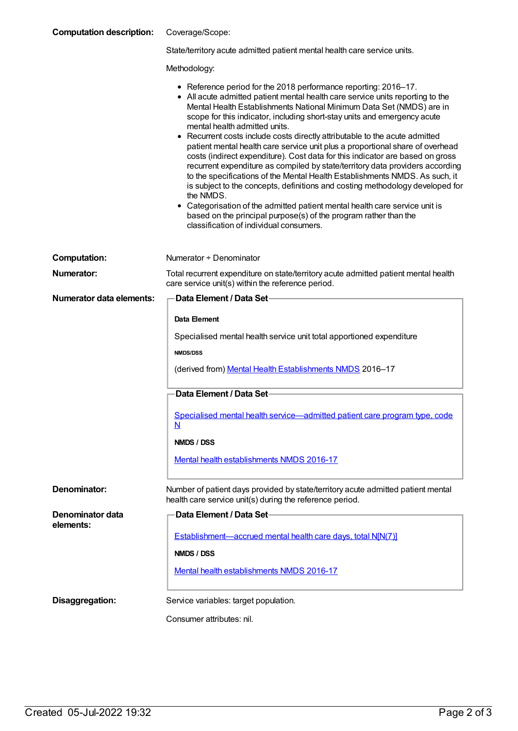| <b>Computation description:</b> | Coverage/Scope: |
|---------------------------------|-----------------|
|---------------------------------|-----------------|

State/territory acute admitted patient mental health care service units.

Methodology:

|  |  | • Reference period for the 2018 performance reporting: 2016-17. |
|--|--|-----------------------------------------------------------------|
|--|--|-----------------------------------------------------------------|

- All acute admitted patient mental health care service units reporting to the Mental Health Establishments National Minimum Data Set (NMDS) are in scope for this indicator, including short-stay units and emergency acute mental health admitted units.
- Recurrent costs include costs directly attributable to the acute admitted patient mental health care service unit plus a proportional share of overhead costs (indirect expenditure). Cost data for this indicator are based on gross recurrent expenditure as compiled by state/territory data providers according to the specifications of the Mental Health Establishments NMDS. As such, it is subject to the concepts, definitions and costing methodology developed for the NMDS.
- Categorisation of the admitted patient mental health care service unit is based on the principal purpose(s) of the program rather than the classification of individual consumers.

| <b>Computation:</b>             | Numerator + Denominator                                                                                                                      |
|---------------------------------|----------------------------------------------------------------------------------------------------------------------------------------------|
| <b>Numerator:</b>               | Total recurrent expenditure on state/territory acute admitted patient mental health<br>care service unit(s) within the reference period.     |
| <b>Numerator data elements:</b> | Data Element / Data Set-                                                                                                                     |
|                                 | Data Element                                                                                                                                 |
|                                 | Specialised mental health service unit total apportioned expenditure                                                                         |
|                                 | <b>NMDS/DSS</b>                                                                                                                              |
|                                 | (derived from) Mental Health Establishments NMDS 2016-17                                                                                     |
|                                 | Data Element / Data Set-                                                                                                                     |
|                                 | Specialised mental health service—admitted patient care program type, code<br>N                                                              |
|                                 | NMDS / DSS                                                                                                                                   |
|                                 | Mental health establishments NMDS 2016-17                                                                                                    |
| <b>Denominator:</b>             | Number of patient days provided by state/territory acute admitted patient mental<br>health care service unit(s) during the reference period. |
| Denominator data                | Data Element / Data Set-                                                                                                                     |
| elements:                       | Establishment-accrued mental health care days, total N[N(7)]                                                                                 |
|                                 | NMDS / DSS                                                                                                                                   |
|                                 | Mental health establishments NMDS 2016-17                                                                                                    |
| Disaggregation:                 | Service variables: target population.                                                                                                        |
|                                 | Consumer attributes: nil.                                                                                                                    |